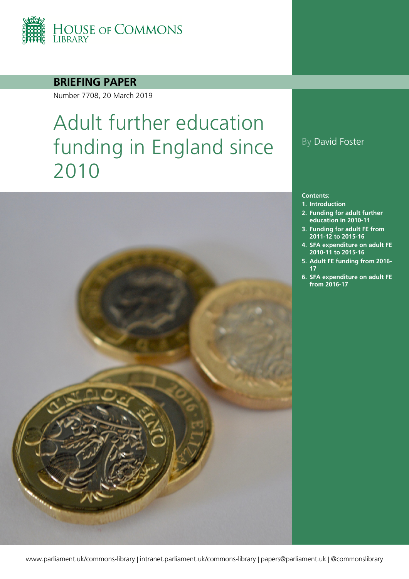

### **BRIEFING PAPER**

Number 7708, 20 March 2019

# Adult further education funding in England since 2010



### By David Foster

#### **Contents:**

- **1. [Introduction](#page-3-0)**
- **2. [Funding for adult further](#page-5-0)  [education in 2010-11](#page-5-0)**
- **3. [Funding for adult FE from](#page-6-0)  [2011-12 to 2015-16](#page-6-0)**
- **4. [SFA expenditure on adult FE](#page-14-0)  [2010-11 to 2015-16](#page-14-0)**
- **5. [Adult FE funding from 2016-](#page-17-0) [17](#page-17-0)**
- **6. [SFA expenditure on adult FE](#page-22-0)  [from 2016-17](#page-22-0)**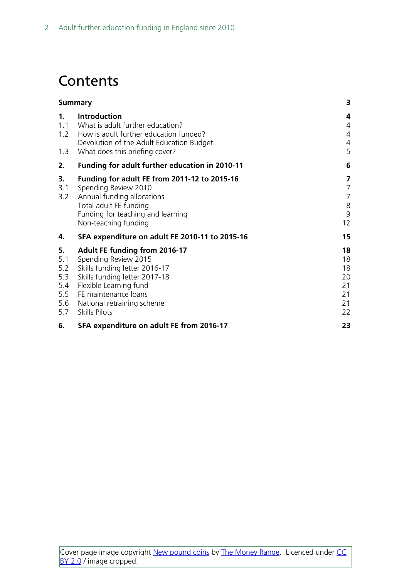# **Contents**

|                                                     | <b>Summary</b>                                                                                                                                                                                                                         | 3                                            |
|-----------------------------------------------------|----------------------------------------------------------------------------------------------------------------------------------------------------------------------------------------------------------------------------------------|----------------------------------------------|
| $\mathbf 1$ .<br>1.2<br>1.3                         | Introduction<br>1.1 What is adult further education?<br>How is adult further education funded?<br>Devolution of the Adult Education Budget<br>What does this briefing cover?                                                           | 4<br>4<br>4<br>4<br>5                        |
| 2.                                                  | <b>Funding for adult further education in 2010-11</b>                                                                                                                                                                                  | 6                                            |
| 3.<br>3.1<br>3.2                                    | Funding for adult FE from 2011-12 to 2015-16<br>Spending Review 2010<br>Annual funding allocations<br>Total adult FE funding<br>Funding for teaching and learning<br>Non-teaching funding                                              | 7<br>$\overline{7}$<br>7<br>8<br>9<br>12     |
| 4.                                                  | SFA expenditure on adult FE 2010-11 to 2015-16                                                                                                                                                                                         | 15                                           |
| 5.<br>5.1<br>5.2<br>5.3<br>5.4<br>5.5<br>5.6<br>5.7 | <b>Adult FE funding from 2016-17</b><br>Spending Review 2015<br>Skills funding letter 2016-17<br>Skills funding letter 2017-18<br>Flexible Learning fund<br>FE maintenance loans<br>National retraining scheme<br><b>Skills Pilots</b> | 18<br>18<br>18<br>20<br>21<br>21<br>21<br>22 |
| 6.                                                  | SFA expenditure on adult FE from 2016-17                                                                                                                                                                                               | 23                                           |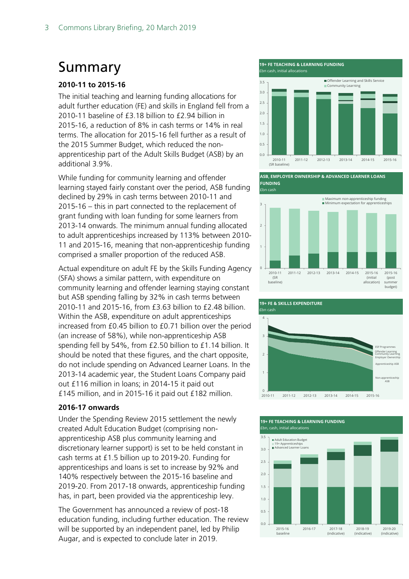# <span id="page-2-0"></span>Summary

#### **2010-11 to 2015-16**

The initial teaching and learning funding allocations for adult further education (FE) and skills in England fell from a 2010-11 baseline of £3.18 billion to £2.94 billion in 2015-16, a reduction of 8% in cash terms or 14% in real terms. The allocation for 2015-16 fell further as a result of the 2015 Summer Budget, which reduced the nonapprenticeship part of the Adult Skills Budget (ASB) by an additional 3.9%.

While funding for community learning and offender learning stayed fairly constant over the period, ASB funding declined by 29% in cash terms between 2010-11 and 2015-16 – this in part connected to the replacement of grant funding with loan funding for some learners from 2013-14 onwards. The minimum annual funding allocated to adult apprenticeships increased by 113% between 2010- 11 and 2015-16, meaning that non-apprenticeship funding comprised a smaller proportion of the reduced ASB.

Actual expenditure on adult FE by the Skills Funding Agency (SFA) shows a similar pattern, with expenditure on community learning and offender learning staying constant but ASB spending falling by 32% in cash terms between 2010-11 and 2015-16, from £3.63 billion to £2.48 billion. Within the ASB, expenditure on adult apprenticeships increased from £0.45 billion to £0.71 billion over the period (an increase of 58%), while non-apprenticeship ASB spending fell by 54%, from £2.50 billion to £1.14 billion. It should be noted that these figures, and the chart opposite, do not include spending on Advanced Learner Loans. In the 2013-14 academic year, the Student Loans Company paid out £116 million in loans; in 2014-15 it paid out £145 million, and in 2015-16 it paid out £182 million.

#### **2016-17 onwards**

Under the Spending Review 2015 settlement the newly created Adult Education Budget (comprising nonapprenticeship ASB plus community learning and discretionary learner support) is set to be held constant in cash terms at £1.5 billion up to 2019-20. Funding for apprenticeships and loans is set to increase by 92% and 140% respectively between the 2015-16 baseline and 2019-20. From 2017-18 onwards, apprenticeship funding has, in part, been provided via the apprenticeship levy.

The Government has announced a review of post-18 education funding, including further education. The review will be supported by an independent panel, led by Philip Augar, and is expected to conclude later in 2019.

**19+ FE TEACHING & LEARNING FUNDING** 



**ASB, EMPLOYER OWNERSHIP & ADVANCED LEARNER LOANS FUNDING**





#### **19+ FE TEACHING & LEARNING FUNDING** £bn, cash, initial allocations

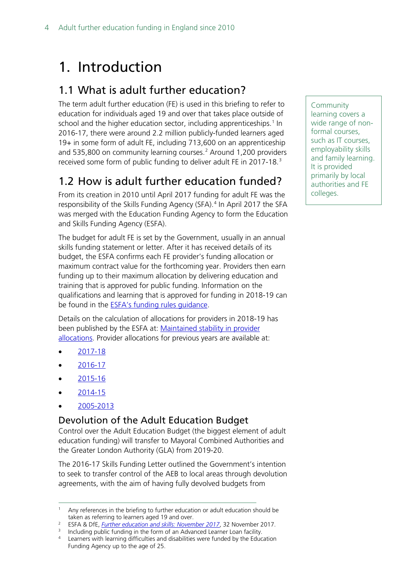# <span id="page-3-0"></span>1. Introduction

## <span id="page-3-1"></span>1.1 What is adult further education?

The term adult further education (FE) is used in this briefing to refer to education for individuals aged 19 and over that takes place outside of school and the higher education sector, including apprenticeships.<sup>[1](#page-3-4)</sup> In 2016-17, there were around 2.2 million publicly-funded learners aged 19+ in some form of adult FE, including 713,600 on an apprenticeship and 535,800 on community learning courses.<sup>[2](#page-3-5)</sup> Around 1,200 providers received some form of public funding to deliver adult FE in 2017-18.<sup>[3](#page-3-6)</sup>

## <span id="page-3-2"></span>1.2 How is adult further education funded?

From its creation in 2010 until April 2017 funding for adult FE was the responsibility of the Skills Funding Agency (SFA).<sup>[4](#page-3-7)</sup> In April 2017 the SFA was merged with the Education Funding Agency to form the Education and Skills Funding Agency (ESFA).

The budget for adult FE is set by the Government, usually in an annual skills funding statement or letter. After it has received details of its budget, the ESFA confirms each FE provider's funding allocation or maximum contract value for the forthcoming year. Providers then earn funding up to their maximum allocation by delivering education and training that is approved for public funding. Information on the qualifications and learning that is approved for funding in 2018-19 can be found in the [ESFA's funding rules guidance.](https://www.gov.uk/government/publications/adult-education-budget-funding-rules-2018-to-2019)

Details on the calculation of allocations for providers in 2018-19 has been published by the ESFA at: Maintained stability in provider [allocations.](https://www.gov.uk/government/news/maintained-stability-in-provider-allocations?utm_source=f1ba81e4-14c5-47a7-bb63-d2d6a5fc1683&utm_medium=email&utm_campaign=govuk-notifications&utm_content=immediate) Provider allocations for previous years are available at:

- [2017-18](https://www.gov.uk/government/publications/funding-allocations-to-training-providers-2017-to-2018)
- [2016-17](https://www.gov.uk/government/publications/sfa-funding-allocations-to-training-providers-2016-to-2017)
- [2015-16](https://www.gov.uk/government/publications/sfa-funding-allocations-to-training-providers-2015-to-2016)
- [2014-15](https://www.gov.uk/government/uploads/system/uploads/attachment_data/file/339499/201415_Funding_Year_Values.csv/preview)
- [2005-2013](https://www.gov.uk/government/publications/sfa-funding-allocations-to-training-providers-2005-to-2013)

### <span id="page-3-3"></span>Devolution of the Adult Education Budget

Control over the Adult Education Budget (the biggest element of adult education funding) will transfer to Mayoral Combined Authorities and the Greater London Authority (GLA) from 2019-20.

The 2016-17 Skills Funding Letter outlined the Government's intention to seek to transfer control of the AEB to local areas through devolution agreements, with the aim of having fully devolved budgets from

Community learning covers a wide range of nonformal courses, such as IT courses, employability skills and family learning. It is provided primarily by local authorities and FE colleges.

<span id="page-3-4"></span>Any references in the briefing to further education or adult education should be taken as referring to learners aged 19 and over.<br><sup>2</sup> ESFA & DfE, *[Further education and skills: November 2017](https://www.gov.uk/government/statistics/further-education-and-skills-november-2017)*, 32 November 2017.<br><sup>3</sup> Including public funding in the form of an Advanced Learner Loan facility.

<span id="page-3-5"></span>

<span id="page-3-7"></span><span id="page-3-6"></span> $34$  Learners with learning difficulties and disabilities were funded by the Education Funding Agency up to the age of 25.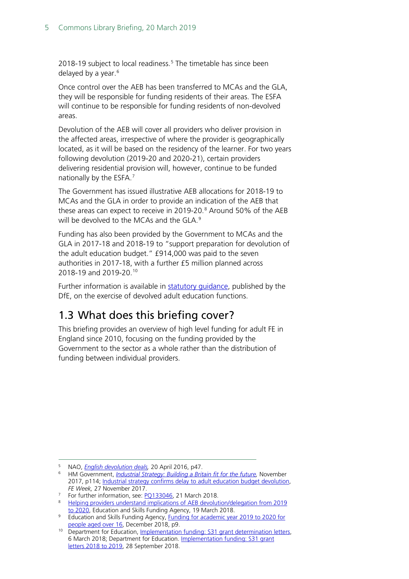2018-19 subject to local readiness.<sup>[5](#page-4-1)</sup> The timetable has since been delayed by a year.<sup>[6](#page-4-2)</sup>

Once control over the AEB has been transferred to MCAs and the GLA, they will be responsible for funding residents of their areas. The ESFA will continue to be responsible for funding residents of non-devolved areas.

Devolution of the AEB will cover all providers who deliver provision in the affected areas, irrespective of where the provider is geographically located, as it will be based on the residency of the learner. For two years following devolution (2019-20 and 2020-21), certain providers delivering residential provision will, however, continue to be funded nationally by the ESFA.<sup>[7](#page-4-3)</sup>

The Government has issued illustrative AEB allocations for 2018-19 to MCAs and the GLA in order to provide an indication of the AEB that these areas can expect to receive in 2019-20.<sup>[8](#page-4-4)</sup> Around 50% of the AEB will be devolved to the MCAs and the GLA.<sup>[9](#page-4-5)</sup>

Funding has also been provided by the Government to MCAs and the GLA in 2017-18 and 2018-19 to "support preparation for devolution of the adult education budget." £914,000 was paid to the seven authorities in 2017-18, with a further £5 million planned across 2018-19 and 2019-20.[10](#page-4-6)

Further information is available in statutory quidance, published by the DfE, on the exercise of devolved adult education functions.

## <span id="page-4-0"></span>1.3 What does this briefing cover?

This briefing provides an overview of high level funding for adult FE in England since 2010, focusing on the funding provided by the Government to the sector as a whole rather than the distribution of funding between individual providers.

<span id="page-4-1"></span> <sup>5</sup> NAO, *[English devolution deals,](https://www.nao.org.uk/wp-content/uploads/2016/04/English-devolution-deals.pdf)* 20 April 2016, p47.

<span id="page-4-2"></span><sup>6</sup> HM Government, *[Industrial Strategy: Building a Britain fit for the future,](https://www.gov.uk/government/publications/industrial-strategy-building-a-britain-fit-for-the-future)* November 2017, p114; Industrial strategy confirms delay to adult education budget devolution, *FE Week,* 27 November 2017.

<sup>&</sup>lt;sup>7</sup> For further information, see: [PQ133046,](http://www.parliament.uk/written-questions-answers-statements/written-question/commons/2018-03-16/133046) 21 March 2018.

<span id="page-4-4"></span><span id="page-4-3"></span><sup>8</sup> Helping providers understand implications of AEB devolution/delegation from 2019 [to 2020,](https://www.gov.uk/government/news/helping-providers-understand-implications-of-aeb-devolutiondelegation-from-2019-to-2020) Education and Skills Funding Agency, 19 March 2018.

<span id="page-4-5"></span><sup>&</sup>lt;sup>9</sup> Education and Skills Funding Agency, **Funding for academic year 2019 to 2020 for** [people aged over 16,](https://assets.publishing.service.gov.uk/government/uploads/system/uploads/attachment_data/file/764216/20181212_FINAL_ESFA_funding_letter.pdf) December 2018, p9.

<span id="page-4-6"></span><sup>&</sup>lt;sup>10</sup> Department for Education, Implementation funding: S31 grant determination letters, 6 March 2018; Department for Education. [Implementation funding: S31 grant](https://www.gov.uk/government/publications/implementation-funding-s31-grant-letters-2018-to-2019)  [letters 2018 to 2019,](https://www.gov.uk/government/publications/implementation-funding-s31-grant-letters-2018-to-2019) 28 September 2018.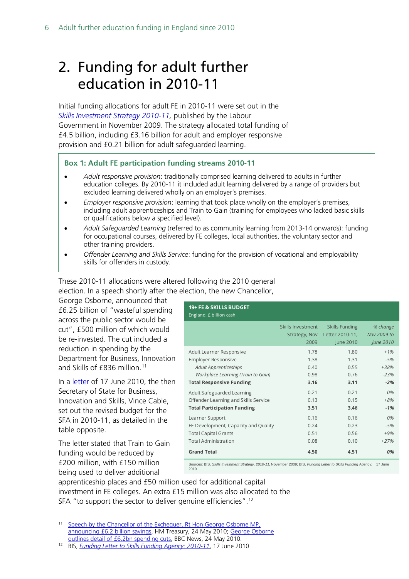# <span id="page-5-0"></span>2. Funding for adult further education in 2010-11

Initial funding allocations for adult FE in 2010-11 were set out in the *[Skills Investment Strategy 2010-11,](http://dera.ioe.ac.uk/10482/1/Skills-Investment-Strategy.pdf)* published by the Labour Government in November 2009. The strategy allocated total funding of £4.5 billion, including £3.16 billion for adult and employer responsive provision and £0.21 billion for adult safeguarded learning.

#### **Box 1: Adult FE participation funding streams 2010-11**

- *Adult responsive provision*: traditionally comprised learning delivered to adults in further education colleges. By 2010-11 it included adult learning delivered by a range of providers but excluded learning delivered wholly on an employer's premises.
- *Employer responsive provision*: learning that took place wholly on the employer's premises, including adult apprenticeships and Train to Gain (training for employees who lacked basic skills or qualifications below a specified level).
- *Adult Safeguarded Learning* (referred to as community learning from 2013-14 onwards): funding for occupational courses, delivered by FE colleges, local authorities, the voluntary sector and other training providers.

**19+ FE & SKILLS BUDGET**

• *Offender Learning and Skills Service*: funding for the provision of vocational and employability skills for offenders in custody.

These 2010-11 allocations were altered following the 2010 general election. In a speech shortly after the election, the new Chancellor,

George Osborne, announced that £6.25 billion of "wasteful spending across the public sector would be cut", £500 million of which would be re-invested. The cut included a reduction in spending by the Department for Business, Innovation and Skills of £836 million.<sup>[11](#page-5-1)</sup>

In a [letter](https://www.gov.uk/government/uploads/system/uploads/attachment_data/file/31996/10-1013-sfa-funding-letter-2010-11.pdf) of 17 June 2010, the then Secretary of State for Business, Innovation and Skills, Vince Cable, set out the revised budget for the SFA in 2010-11, as detailed in the table opposite.

The letter stated that Train to Gain funding would be reduced by £200 million, with £150 million being used to deliver additional

| England, £ billion cash              |                   |                       |             |
|--------------------------------------|-------------------|-----------------------|-------------|
|                                      | Skills Investment | <b>Skills Funding</b> | % change    |
|                                      | Strategy, Nov     | Letter 2010-11,       | Nov 2009 to |
|                                      | 2009              | June 2010             | June 2010   |
| Adult Learner Responsive             | 1.78              | 1.80                  | $+1%$       |
| <b>Employer Responsive</b>           | 1.38              | 1.31                  | $-5%$       |
| <b>Adult Apprenticeships</b>         | 0.40              | 0.55                  | +38%        |
| Workplace Learning (Train to Gain)   | 0.98              | 0.76                  | $-23%$      |
| <b>Total Responsive Funding</b>      | 3.16              | 3.11                  | $-2%$       |
| Adult Safeguarded Learning           | 0.21              | 0.21                  | 0%          |
| Offender Learning and Skills Service | 0.13              | 0.15                  | $+8%$       |
| <b>Total Participation Funding</b>   | 3.51              | 3.46                  | $-1%$       |
| Learner Support                      | 0.16              | 0.16                  | 0%          |
| FE Development, Capacity and Quality | 0.24              | 0.23                  | $-5%$       |
| <b>Total Capital Grants</b>          | 0.51              | 0.56                  | $+9%$       |
| <b>Total Administration</b>          | 0.08              | 0.10                  | $+27%$      |
| <b>Grand Total</b>                   | 4.50              | 4.51                  | 0%          |

Sources: BIS, *Skills Investment Strategy, 2010-11,* November 2009; BIS, *Funding Letter to Skills Funding Agency,* 17 June 2010.

apprenticeship places and £50 million used for additional capital investment in FE colleges. An extra £15 million was also allocated to the SFA "to support the sector to deliver genuine efficiencies".<sup>[12](#page-5-2)</sup>

<span id="page-5-1"></span><sup>11</sup> Speech by the Chancellor of the Exchequer, Rt Hon George Osborne MP, [announcing £6.2 billion savings,](https://www.gov.uk/government/speeches/speech-by-the-chancellor-of-the-exchequer-rt-hon-george-osborne-mp-announcing-62-billion-savings) HM Treasury, 24 May 2010; [George Osborne](http://news.bbc.co.uk/1/hi/uk_politics/8699522.stm)  [outlines detail of £6.2bn spending cuts,](http://news.bbc.co.uk/1/hi/uk_politics/8699522.stm) BBC News, 24 May 2010.

<span id="page-5-2"></span><sup>12</sup> BIS, *[Funding Letter to Skills Funding Agency: 2010-11](https://www.gov.uk/government/uploads/system/uploads/attachment_data/file/31996/10-1013-sfa-funding-letter-2010-11.pdf)*, 17 June 2010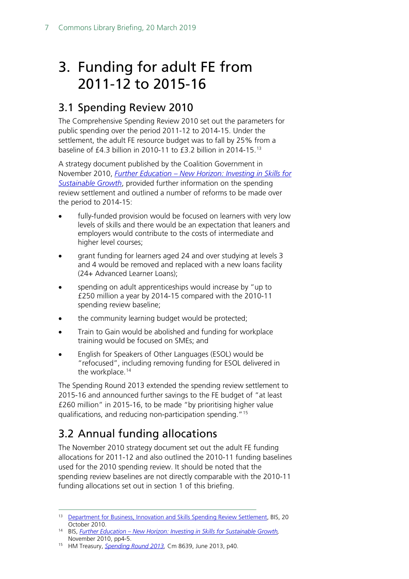# <span id="page-6-0"></span>3. Funding for adult FE from 2011-12 to 2015-16

## <span id="page-6-1"></span>3.1 Spending Review 2010

The Comprehensive Spending Review 2010 set out the parameters for public spending over the period 2011-12 to 2014-15. Under the settlement, the adult FE resource budget was to fall by 25% from a baseline of £4.3 billion in 2010-11 to £3.2 billion in 2014-15.[13](#page-6-3)

A strategy document published by the Coalition Government in November 2010, *Further Education – [New Horizon: Investing in Skills for](https://www.gov.uk/government/uploads/system/uploads/attachment_data/file/32366/10-1272-strategy-investing-in-skills-for-sustainable-growth.pdf)  [Sustainable Growth](https://www.gov.uk/government/uploads/system/uploads/attachment_data/file/32366/10-1272-strategy-investing-in-skills-for-sustainable-growth.pdf)*, provided further information on the spending review settlement and outlined a number of reforms to be made over the period to 2014-15:

- fully-funded provision would be focused on learners with very low levels of skills and there would be an expectation that leaners and employers would contribute to the costs of intermediate and higher level courses;
- grant funding for learners aged 24 and over studying at levels 3 and 4 would be removed and replaced with a new loans facility (24+ Advanced Learner Loans);
- spending on adult apprenticeships would increase by "up to £250 million a year by 2014-15 compared with the 2010-11 spending review baseline;
- the community learning budget would be protected;
- Train to Gain would be abolished and funding for workplace training would be focused on SMEs; and
- English for Speakers of Other Languages (ESOL) would be "refocused", including removing funding for ESOL delivered in the workplace.<sup>[14](#page-6-4)</sup>

The Spending Round 2013 extended the spending review settlement to 2015-16 and announced further savings to the FE budget of "at least £260 million" in 2015-16, to be made "by prioritising higher value qualifications, and reducing non-participation spending."[15](#page-6-5)

## <span id="page-6-2"></span>3.2 Annual funding allocations

The November 2010 strategy document set out the adult FE funding allocations for 2011-12 and also outlined the 2010-11 funding baselines used for the 2010 spending review. It should be noted that the spending review baselines are not directly comparable with the 2010-11 funding allocations set out in section 1 of this briefing.

<span id="page-6-3"></span><sup>&</sup>lt;sup>13</sup> [Department for Business, Innovation and Skills Spending Review Settlement,](https://www.gov.uk/government/news/the-department-for-business-innovation-and-skills-spending-review-settlement) BIS, 20 October 2010.

<span id="page-6-4"></span><sup>14</sup> BIS, *Further Education – [New Horizon: Investing in Skills for Sustainable Growth,](https://www.gov.uk/government/uploads/system/uploads/attachment_data/file/32366/10-1272-strategy-investing-in-skills-for-sustainable-growth.pdf)*  November 2010, pp4-5.

<span id="page-6-5"></span><sup>15</sup> HM Treasury, *[Spending Round 2013,](https://www.gov.uk/government/uploads/system/uploads/attachment_data/file/209036/spending-round-2013-complete.pdf)* Cm 8639, June 2013, p40.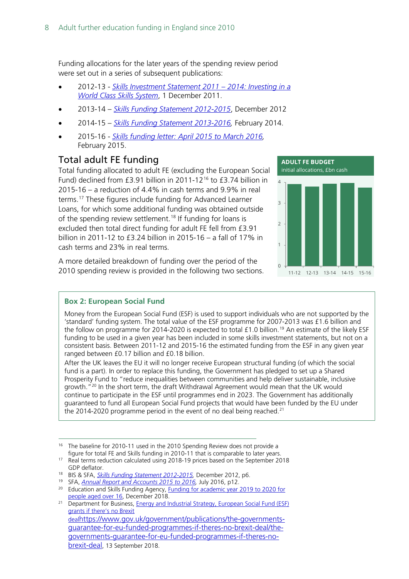Funding allocations for the later years of the spending review period were set out in a series of subsequent publications:

- 2012-13 *[Skills Investment Statement 2011 –](https://www.gov.uk/government/uploads/system/uploads/attachment_data/file/32374/11-1374-skills-investment-statement-2011-2014.pdf) 2014: Investing in a [World Class Skills System](https://www.gov.uk/government/uploads/system/uploads/attachment_data/file/32374/11-1374-skills-investment-statement-2011-2014.pdf)*, 1 December 2011.
- 2013-14 *[Skills Funding Statement 2012-2015](https://www.gov.uk/government/uploads/system/uploads/attachment_data/file/82774/bis-12-p172x-skills-funding-statement-2012-2015.pdf)*, December 2012
- 2014-15 *[Skills Funding Statement 2013-2016,](https://www.gov.uk/government/uploads/system/uploads/attachment_data/file/278529/bis-14-p172a-skills-funding-statement-2013-2016.pdf)* February 2014.
- 2015-16 *[Skills funding letter: April 2015 to March 2016,](https://www.gov.uk/government/publications/skills-funding-letter-april-2015-to-march-2016)*  February 2015.

### <span id="page-7-0"></span>Total adult FE funding

Total funding allocated to adult FE (excluding the European Social Fund) declined from  $f3.91$  billion in 2011-12<sup>[16](#page-7-1)</sup> to  $f3.74$  billion in 2015-16 – a reduction of 4.4% in cash terms and 9.9% in real terms.[17](#page-7-2) These figures include funding for Advanced Learner Loans, for which some additional funding was obtained outside of the spending review settlement.<sup>[18](#page-7-3)</sup> If funding for loans is excluded then total direct funding for adult FE fell from £3.91 billion in 2011-12 to  $f3.24$  billion in 2015-16 – a fall of 17% in cash terms and 23% in real terms.

A more detailed breakdown of funding over the period of the 2010 spending review is provided in the following two sections.



#### **Box 2: European Social Fund**

Money from the European Social Fund (ESF) is used to support individuals who are not supported by the 'standard' funding system. The total value of the ESF programme for 2007-2013 was £1.6 billion and the follow on programme for 2014-2020 is expected to total £1.0 billion.<sup>[19](#page-7-4)</sup> An estimate of the likely ESF funding to be used in a given year has been included in some skills investment statements, but not on a consistent basis. Between 2011-12 and 2015-16 the estimated funding from the ESF in any given year ranged between £0.17 billion and £0.18 billion.

After the UK leaves the EU it will no longer receive European structural funding (of which the social fund is a part). In order to replace this funding, the Government has pledged to set up a Shared Prosperity Fund to "reduce inequalities between communities and help deliver sustainable, inclusive growth."[20](#page-7-5) In the short term, the draft Withdrawal Agreement would mean that the UK would continue to participate in the ESF until programmes end in 2023. The Government has additionally guaranteed to fund all European Social Fund projects that would have been funded by the EU under the 2014-2020 programme period in the event of no deal being reached.<sup>[21](#page-7-6)</sup>

<sup>18</sup> BIS & SFA, *Skills Funding Statement 2012-2015,* December 2012, p6. 19 SFA, *[Annual Report and Accounts 2015 to 2016,](https://www.gov.uk/government/publications/skills-funding-agency-annual-report-and-accounts-2015-to-2016)* July 2016, p12.

<span id="page-7-6"></span><sup>21</sup> Department for Business, Energy and Industrial Strategy, European Social Fund (ESF) [grants if there's no Brexit](https://www.gov.uk/government/publications/european-social-fund-esf-grants-if-theres-no-brexit-deal/european-social-fund-esf-grants-if-theres-no-brexit-deal) [deal](https://www.gov.uk/government/publications/european-social-fund-esf-grants-if-theres-no-brexit-deal/european-social-fund-esf-grants-if-theres-no-brexit-deal)[https://www.gov.uk/government/publications/the-governments](https://www.gov.uk/government/publications/the-governments-guarantee-for-eu-funded-programmes-if-theres-no-brexit-deal/the-governments-guarantee-for-eu-funded-programmes-if-theres-no-brexit-deal)[guarantee-for-eu-funded-programmes-if-theres-no-brexit-deal/the](https://www.gov.uk/government/publications/the-governments-guarantee-for-eu-funded-programmes-if-theres-no-brexit-deal/the-governments-guarantee-for-eu-funded-programmes-if-theres-no-brexit-deal)[governments-guarantee-for-eu-funded-programmes-if-theres-no](https://www.gov.uk/government/publications/the-governments-guarantee-for-eu-funded-programmes-if-theres-no-brexit-deal/the-governments-guarantee-for-eu-funded-programmes-if-theres-no-brexit-deal)[brexit-deal,](https://www.gov.uk/government/publications/the-governments-guarantee-for-eu-funded-programmes-if-theres-no-brexit-deal/the-governments-guarantee-for-eu-funded-programmes-if-theres-no-brexit-deal) 13 September 2018.

<span id="page-7-1"></span><sup>&</sup>lt;sup>16</sup> The baseline for 2010-11 used in the 2010 Spending Review does not provide a figure for total FE and Skills funding in 2010-11 that is comparable to later years.

<sup>&</sup>lt;sup>17</sup> Real terms reduction calculated using 2018-19 prices based on the September 2018

<span id="page-7-3"></span><span id="page-7-2"></span>GDP deflator.<br><sup>18</sup> BIS & SFA, *Skills Funding Statement 2012-2015*, December 2012, p6.

<span id="page-7-5"></span><span id="page-7-4"></span><sup>&</sup>lt;sup>20</sup> Education and Skills Funding Agency, Funding for academic year 2019 to 2020 for [people aged over 16,](https://assets.publishing.service.gov.uk/government/uploads/system/uploads/attachment_data/file/764216/20181212_FINAL_ESFA_funding_letter.pdf) December 2018.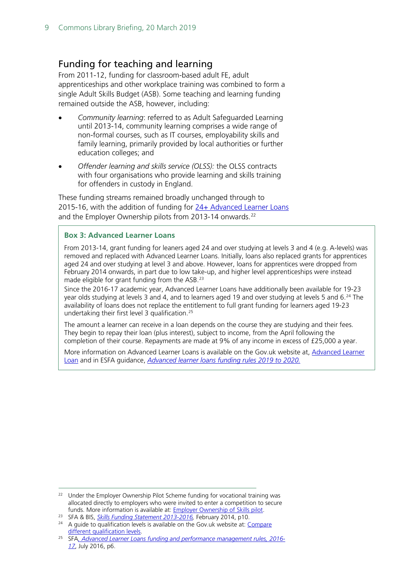### <span id="page-8-0"></span>Funding for teaching and learning

From 2011-12, funding for classroom-based adult FE, adult apprenticeships and other workplace training was combined to form a single Adult Skills Budget (ASB). Some teaching and learning funding remained outside the ASB, however, including:

- *Community learning*: referred to as Adult Safeguarded Learning until 2013-14, community learning comprises a wide range of non-formal courses, such as IT courses, employability skills and family learning, primarily provided by local authorities or further education colleges; and
- *Offender learning and skills service (OLSS):* the OLSS contracts with four organisations who provide learning and skills training for offenders in custody in England.

These funding streams remained broadly unchanged through to 2015-16, with the addition of funding for [24+ Advanced Learner Loans](https://www.gov.uk/advanced-learner-loan/overview) and the Employer Ownership pilots from 2013-14 onwards.<sup>[22](#page-8-1)</sup>

#### **Box 3: Advanced Learner Loans**

From 2013-14, grant funding for leaners aged 24 and over studying at levels 3 and 4 (e.g. A-levels) was removed and replaced with Advanced Learner Loans. Initially, loans also replaced grants for apprentices aged 24 and over studying at level 3 and above. However, loans for apprentices were dropped from February 2014 onwards, in part due to low take-up, and higher level apprenticeships were instead made eligible for grant funding from the ASB.[23](#page-8-2)

Since the 2016-17 academic year, Advanced Learner Loans have additionally been available for 19-23 year olds studying at levels 3 and 4, and to learners aged 19 and over studying at levels 5 and 6.<sup>[24](#page-8-3)</sup> The availability of loans does not replace the entitlement to full grant funding for learners aged 19-23 undertaking their first level 3 qualification.<sup>[25](#page-8-4)</sup>

The amount a learner can receive in a loan depends on the course they are studying and their fees. They begin to repay their loan (plus interest), subject to income, from the April following the completion of their course. Repayments are made at 9% of any income in excess of £25,000 a year.

More information on Advanced Learner Loans is available on the Gov.uk website at, [Advanced Learner](https://www.gov.uk/advanced-learner-loan/overview)  [Loan](https://www.gov.uk/advanced-learner-loan/overview) and in ESFA guidance, *[Advanced learner loans funding rules 2019 to 2020.](https://www.gov.uk/government/publications/advanced-learner-loans-funding-rules-2019-to-2020)*

<span id="page-8-1"></span><sup>&</sup>lt;sup>22</sup> Under the Employer Ownership Pilot Scheme funding for vocational training was allocated directly to employers who were invited to enter a competition to secure funds. More information is available at: **Employer Ownership of Skills pilot**.

<span id="page-8-2"></span><sup>23</sup> SFA & BIS, *[Skills Funding Statement 2013-2016,](https://www.gov.uk/government/uploads/system/uploads/attachment_data/file/278529/bis-14-p172a-skills-funding-statement-2013-2016.pdf)* February 2014, p10.

<span id="page-8-3"></span><sup>&</sup>lt;sup>24</sup> A quide to qualification levels is available on the Gov.uk website at: Compare [different qualification levels.](https://www.gov.uk/what-different-qualification-levels-mean/compare-different-qualification-levels)

<span id="page-8-4"></span><sup>25</sup> SFA*[, Advanced Learner Loans funding and performance management rules, 2016-](https://www.gov.uk/government/uploads/system/uploads/attachment_data/file/533980/Advanced_Learner_Loans_funding_rules_2016_to_2017_V3.pdf) [17](https://www.gov.uk/government/uploads/system/uploads/attachment_data/file/533980/Advanced_Learner_Loans_funding_rules_2016_to_2017_V3.pdf)*, July 2016, p6.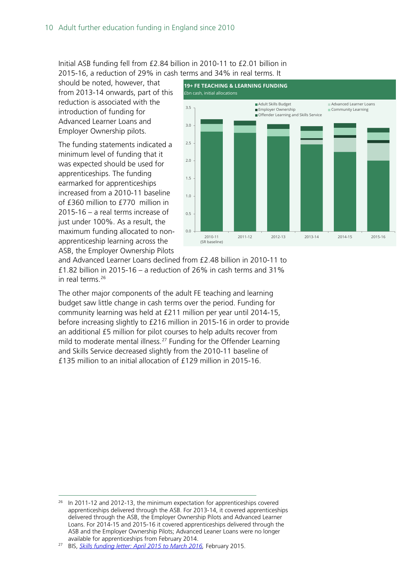Initial ASB funding fell from £2.84 billion in 2010-11 to £2.01 billion in 2015-16, a reduction of 29% in cash terms and 34% in real terms. It

should be noted, however, that from 2013-14 onwards, part of this reduction is associated with the introduction of funding for Advanced Learner Loans and Employer Ownership pilots.

The funding statements indicated a minimum level of funding that it was expected should be used for apprenticeships. The funding earmarked for apprenticeships increased from a 2010-11 baseline of £360 million to £770 million in 2015-16 – a real terms increase of iust under 100%. As a result, the maximum funding allocated to nonapprenticeship learning across the ASB, the Employer Ownership Pilots



and Advanced Learner Loans declined from £2.48 billion in 2010-11 to £1.82 billion in 2015-16 – a reduction of 26% in cash terms and 31% in real terms.[26](#page-9-0)

The other major components of the adult FE teaching and learning budget saw little change in cash terms over the period. Funding for community learning was held at £211 million per year until 2014-15, before increasing slightly to £216 million in 2015-16 in order to provide an additional £5 million for pilot courses to help adults recover from mild to moderate mental illness.<sup>[27](#page-9-1)</sup> Funding for the Offender Learning and Skills Service decreased slightly from the 2010-11 baseline of £135 million to an initial allocation of £129 million in 2015-16.

<span id="page-9-0"></span><sup>&</sup>lt;sup>26</sup> In 2011-12 and 2012-13, the minimum expectation for apprenticeships covered apprenticeships delivered through the ASB. For 2013-14, it covered apprenticeships delivered through the ASB, the Employer Ownership Pilots and Advanced Learner Loans. For 2014-15 and 2015-16 it covered apprenticeships delivered through the ASB and the Employer Ownership Pilots; Advanced Leaner Loans were no longer available for apprenticeships from February 2014.

<span id="page-9-1"></span><sup>&</sup>lt;sup>27</sup> BIS, *Skills funding letter: April 2015 to March 2016*, February 2015.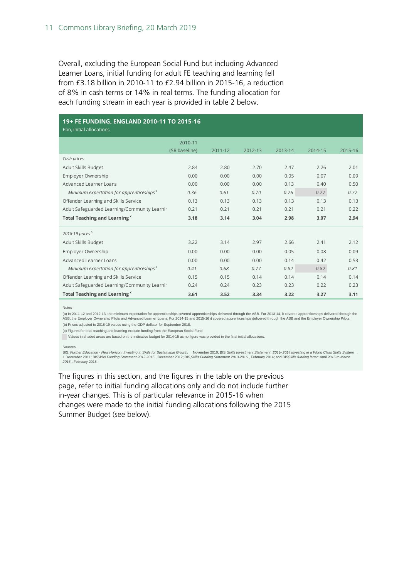Overall, excluding the European Social Fund but including Advanced Learner Loans, initial funding for adult FE teaching and learning fell from £3.18 billion in 2010-11 to £2.94 billion in 2015-16, a reduction of 8% in cash terms or 14% in real terms. The funding allocation for each funding stream in each year is provided in table 2 below.

#### 2010-11 (SR baseline) 2011-12 2012-13 2013-14 2014-15 2015-16 2.84 2.80 2.70 2.47 2.26 2.01 0.00 0.00 0.00 0.05 0.07 0.09 0.00 0.00 0.00 0.13 0.40 0.50 *Minimum expectation for apprenticeships <sup>a</sup> 0.36 0.61 0.70 0.76 0.77 0.77* 0.13 0.13 0.13 0.13 0.13 0.13 0.21 0.21 0.21 0.21 0.21 0.22 **3.18 3.14 3.04 2.98 3.07 2.94** 3.22 3.14 2.97 2.66 2.41 2.12 0.00 0.00 0.00 0.05 0.08 0.09 0.00 0.00 0.00 0.14 0.42 0.53 *Minimum expectation for apprenticeships <sup>a</sup> 0.41 0.68 0.77 0.82 0.82 0.81* 0.15 0.15 0.14 0.14 0.14 0.14 0.24 0.24 0.23 0.23 0.22 0.23 **3.61 3.52 3.34 3.22 3.27 3.11** Employer Ownership **19+ FE FUNDING, ENGLAND 2010-11 TO 2015-16** £bn, initial allocations *Cash prices* Adult Skills Budget Employer Ownership Offender Learning and Skills Service Advanced Learner Loans Adult Safeguarded Learning/Community Learnin **Total Teaching and Learning c** *2018-19 prices <sup>b</sup>* Adult Skills Budget Offender Learning and Skills Service Advanced Learner Loans Adult Safeguarded Learning/Community Learnin **Total Teaching and Learning c**

Notes

(a) In 2011-12 and 2012-13, the minimum expectation for apprenticeships covered apprenticeships delivered through the ASB. For 2013-14, it covered apprenticeships delivered through the<br>ASB, the Employer Ownership Pilots an (b) Prices adjusted to 2018-19 values using the GDP deflator for September 2018.

(c) Figures for total teaching and learning exclude funding from the European Social Fund

Values in shaded areas are based on the indicative budget for 2014-15 as no figure was provided in the final initial allocations.

Sources

BIS, Further Education - New Horizon: Investing in Skills for Sustainable Growth, November 2010; BIS, Skills Investment Statement 2011–2014 Investing in a World Class Skills System ,<br>1 December 2011; BISSkills Funding *2016* , February 2015.

The figures in this section, and the figures in the table on the previous page, refer to initial funding allocations only and do not include further in-year changes. This is of particular relevance in 2015-16 when changes were made to the initial funding allocations following the 2015 Summer Budget (see below).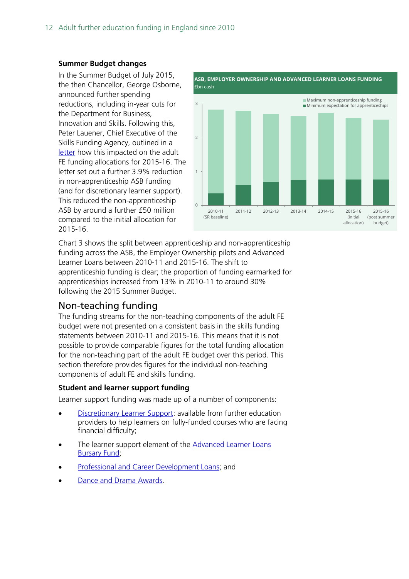#### **Summer Budget changes**

In the Summer Budget of July 2015, the then Chancellor, George Osborne, announced further spending reductions, including in-year cuts for the Department for Business, Innovation and Skills. Following this, Peter Lauener, Chief Executive of the Skills Funding Agency, outlined in a [letter](https://www.gov.uk/government/uploads/system/uploads/attachment_data/file/446922/Funding_Allocations_2015_to_2016.pdf) how this impacted on the adult FE funding allocations for 2015-16. The letter set out a further 3.9% reduction in non-apprenticeship ASB funding (and for discretionary learner support). This reduced the non-apprenticeship ASB by around a further £50 million compared to the initial allocation for 2015-16.



Chart 3 shows the split between apprenticeship and non-apprenticeship funding across the ASB, the Employer Ownership pilots and Advanced Learner Loans between 2010-11 and 2015-16. The shift to apprenticeship funding is clear; the proportion of funding earmarked for apprenticeships increased from 13% in 2010-11 to around 30% following the 2015 Summer Budget.

### <span id="page-11-0"></span>Non-teaching funding

The funding streams for the non-teaching components of the adult FE budget were not presented on a consistent basis in the skills funding statements between 2010-11 and 2015-16. This means that it is not possible to provide comparable figures for the total funding allocation for the non-teaching part of the adult FE budget over this period. This section therefore provides figures for the individual non-teaching components of adult FE and skills funding.

#### **Student and learner support funding**

Learner support funding was made up of a number of components:

- [Discretionary Learner Support:](https://www.gov.uk/discretionary-learner-support) available from further education providers to help learners on fully-funded courses who are facing financial difficulty;
- The learner support element of the **Advanced Learner Loans** [Bursary Fund;](https://www.gov.uk/advanced-learner-loan/bursary-fund)
- [Professional and Career Development Loans;](https://www.gov.uk/career-development-loans/overview) and
- [Dance and Drama Awards.](https://www.gov.uk/dance-drama-awards)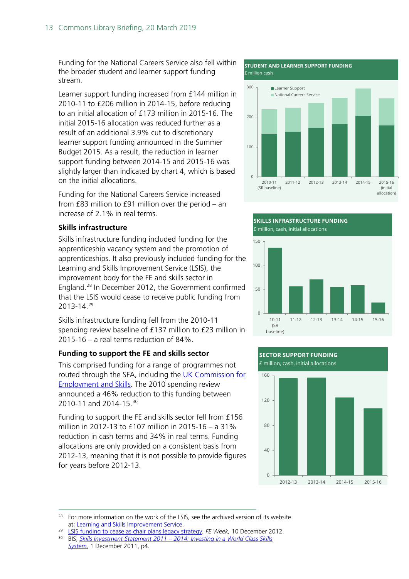Funding for the National Careers Service also fell within the broader student and learner support funding stream.

Learner support funding increased from £144 million in 2010-11 to £206 million in 2014-15, before reducing to an initial allocation of £173 million in 2015-16. The initial 2015-16 allocation was reduced further as a result of an additional 3.9% cut to discretionary learner support funding announced in the Summer Budget 2015. As a result, the reduction in learner support funding between 2014-15 and 2015-16 was slightly larger than indicated by chart 4, which is based on the initial allocations.

Funding for the National Careers Service increased from £83 million to £91 million over the period – an increase of 2.1% in real terms.

#### **Skills infrastructure**

Skills infrastructure funding included funding for the apprenticeship vacancy system and the promotion of apprenticeships. It also previously included funding for the Learning and Skills Improvement Service (LSIS), the improvement body for the FE and skills sector in England.[28](#page-12-0) In December 2012, the Government confirmed that the LSIS would cease to receive public funding from 2013-14.[29](#page-12-1)

Skills infrastructure funding fell from the 2010-11 spending review baseline of £137 million to £23 million in 2015-16 – a real terms reduction of 84%.

#### **Funding to support the FE and skills sector**

This comprised funding for a range of programmes not routed through the SFA, including the [UK Commission for](https://www.gov.uk/government/organisations/uk-commission-for-employment-and-skills)  [Employment and Skills.](https://www.gov.uk/government/organisations/uk-commission-for-employment-and-skills) The 2010 spending review announced a 46% reduction to this funding between 2010-11 and 2014-15.[30](#page-12-2)

Funding to support the FE and skills sector fell from £156 million in 2012-13 to £107 million in 2015-16 – a 31% reduction in cash terms and 34% in real terms. Funding allocations are only provided on a consistent basis from 2012-13, meaning that it is not possible to provide figures for years before 2012-13.

### **STUDENT AND LEARNER SUPPORT FUNDING**



#### **SKILLS INFRASTRUCTURE FUNDING** £ million, cash, initial allocations



#### **SECTOR SUPPORT FUNDING**

£ million, cash, initial allocations



<span id="page-12-0"></span><sup>&</sup>lt;sup>28</sup> For more information on the work of the LSIS, see the archived version of its website at: [Learning and Skills Improvement Service.](http://webarchive.nationalarchives.gov.uk/20070905124712/http:/lsis.org.uk/LSISHome.aspx)

<span id="page-12-1"></span><sup>29</sup> [LSIS funding to cease as chair plans legacy strategy,](http://feweek.co.uk/2012/12/10/lsis-funding-to-cease-as-chair-plans-legacy-strategy/) *FE Week*, 10 December 2012.

<span id="page-12-2"></span><sup>30</sup> BIS, *Skills Investment Statement 2011 – [2014: Investing in a World Class Skills](https://www.gov.uk/government/uploads/system/uploads/attachment_data/file/32374/11-1374-skills-investment-statement-2011-2014.pdf)* 

*[System](https://www.gov.uk/government/uploads/system/uploads/attachment_data/file/32374/11-1374-skills-investment-statement-2011-2014.pdf)*, 1 December 2011, p4.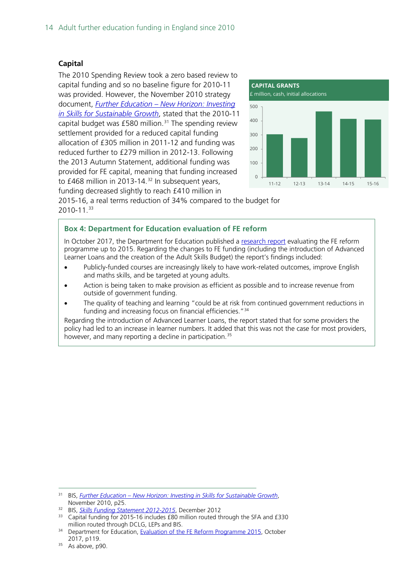#### **Capital**

The 2010 Spending Review took a zero based review to capital funding and so no baseline figure for 2010-11 was provided. However, the November 2010 strategy document, *Further Education – [New Horizon: Investing](https://www.gov.uk/government/uploads/system/uploads/attachment_data/file/32366/10-1272-strategy-investing-in-skills-for-sustainable-growth.pdf)  [in Skills for Sustainable Growth](https://www.gov.uk/government/uploads/system/uploads/attachment_data/file/32366/10-1272-strategy-investing-in-skills-for-sustainable-growth.pdf)*, stated that the 2010-11 capital budget was £580 million. $31$  The spending review settlement provided for a reduced capital funding allocation of £305 million in 2011-12 and funding was reduced further to £279 million in 2012-13. Following the 2013 Autumn Statement, additional funding was provided for FE capital, meaning that funding increased to  $£468$  million in 2013-14.<sup>[32](#page-13-1)</sup> In subsequent years, funding decreased slightly to reach £410 million in



2015-16, a real terms reduction of 34% compared to the budget for 2010-11.[33](#page-13-2)

#### **Box 4: Department for Education evaluation of FE reform**

In October 2017, the Department for Education published a [research report](https://www.gov.uk/government/publications/further-education-reform-programme-evaluation) evaluating the FE reform programme up to 2015. Regarding the changes to FE funding (including the introduction of Advanced Learner Loans and the creation of the Adult Skills Budget) the report's findings included:

- Publicly-funded courses are increasingly likely to have work-related outcomes, improve English and maths skills, and be targeted at young adults.
- Action is being taken to make provision as efficient as possible and to increase revenue from outside of government funding.
- The quality of teaching and learning "could be at risk from continued government reductions in funding and increasing focus on financial efficiencies."<sup>[34](#page-13-3)</sup>

Regarding the introduction of Advanced Learner Loans, the report stated that for some providers the policy had led to an increase in learner numbers. It added that this was not the case for most providers, however, and many reporting a decline in participation.<sup>[35](#page-13-4)</sup>

<span id="page-13-0"></span> 31 BIS, *Further Education – [New Horizon: Investing in Skills for Sustainable Growth](https://www.gov.uk/government/uploads/system/uploads/attachment_data/file/32366/10-1272-strategy-investing-in-skills-for-sustainable-growth.pdf)*, November 2010, p25.

<span id="page-13-2"></span><span id="page-13-1"></span><sup>32</sup> BIS, *[Skills Funding Statement 2012-2015](https://www.gov.uk/government/uploads/system/uploads/attachment_data/file/82774/bis-12-p172x-skills-funding-statement-2012-2015.pdf)*, December 2012

<sup>33</sup> Capital funding for 2015-16 includes £80 million routed through the SFA and £330

<span id="page-13-3"></span>million routed through DCLG, LEPs and BIS.<br><sup>34</sup> Department for Education, [Evaluation of the FE Reform Programme 2015,](https://www.gov.uk/government/uploads/system/uploads/attachment_data/file/652495/Evaluation_of_the_FE_Reform_Programme_2015.pdf) October 2017, p119.

<span id="page-13-4"></span> $35$  As above, p90.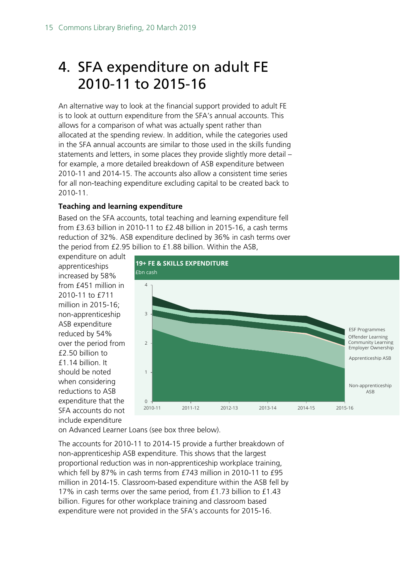# <span id="page-14-0"></span>4. SFA expenditure on adult FE 2010-11 to 2015-16

An alternative way to look at the financial support provided to adult FE is to look at outturn expenditure from the SFA's annual accounts. This allows for a comparison of what was actually spent rather than allocated at the spending review. In addition, while the categories used in the SFA annual accounts are similar to those used in the skills funding statements and letters, in some places they provide slightly more detail – for example, a more detailed breakdown of ASB expenditure between 2010-11 and 2014-15. The accounts also allow a consistent time series for all non-teaching expenditure excluding capital to be created back to 2010-11.

#### **Teaching and learning expenditure**

Based on the SFA accounts, total teaching and learning expenditure fell from £3.63 billion in 2010-11 to £2.48 billion in 2015-16, a cash terms reduction of 32%. ASB expenditure declined by 36% in cash terms over the period from £2.95 billion to £1.88 billion. Within the ASB,

expenditure on adult apprenticeships increased by 58% from £451 million in 2010-11 to £711 million in 2015-16; non-apprenticeship ASB expenditure reduced by 54% over the period from £2.50 billion to £1.14 billion. It should be noted when considering reductions to ASB expenditure that the SFA accounts do not include expenditure



on Advanced Learner Loans (see box three below).

The accounts for 2010-11 to 2014-15 provide a further breakdown of non-apprenticeship ASB expenditure. This shows that the largest proportional reduction was in non-apprenticeship workplace training, which fell by 87% in cash terms from £743 million in 2010-11 to £95 million in 2014-15. Classroom-based expenditure within the ASB fell by 17% in cash terms over the same period, from £1.73 billion to £1.43 billion. Figures for other workplace training and classroom based expenditure were not provided in the SFA's accounts for 2015-16.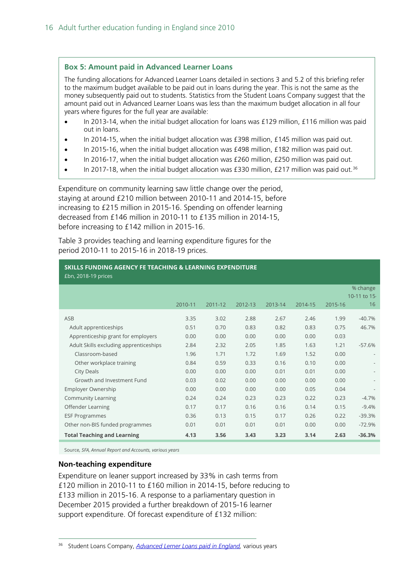#### **Box 5: Amount paid in Advanced Learner Loans**

The funding allocations for Advanced Learner Loans detailed in sections 3 and 5.2 of this briefing refer to the maximum budget available to be paid out in loans during the year. This is not the same as the money subsequently paid out to students. Statistics from the Student Loans Company suggest that the amount paid out in Advanced Learner Loans was less than the maximum budget allocation in all four years where figures for the full year are available:

- In 2013-14, when the initial budget allocation for loans was £129 million, £116 million was paid out in loans.
- In 2014-15, when the initial budget allocation was £398 million, £145 million was paid out.
- In 2015-16, when the initial budget allocation was £498 million, £182 million was paid out.
- In 2016-17, when the initial budget allocation was £260 million, £250 million was paid out.
- In 2017-18, when the initial budget allocation was £330 million, £217 million was paid out.<sup>[36](#page-15-0)</sup>

Expenditure on community learning saw little change over the period, staying at around £210 million between 2010-11 and 2014-15, before increasing to £215 million in 2015-16. Spending on offender learning decreased from £146 million in 2010-11 to £135 million in 2014-15, before increasing to £142 million in 2015-16.

Table 3 provides teaching and learning expenditure figures for the period 2010-11 to 2015-16 in 2018-19 prices.

| £bn, 2018-19 prices                    |         |         |         |         |         |         |              |
|----------------------------------------|---------|---------|---------|---------|---------|---------|--------------|
|                                        |         |         |         |         |         |         | % change     |
|                                        |         |         |         |         |         |         | 10-11 to 15. |
|                                        | 2010-11 | 2011-12 | 2012-13 | 2013-14 | 2014-15 | 2015-16 | 16           |
| ASB                                    | 3.35    | 3.02    | 2.88    | 2.67    | 2.46    | 1.99    | $-40.7%$     |
| Adult apprenticeships                  | 0.51    | 0.70    | 0.83    | 0.82    | 0.83    | 0.75    | 46.7%        |
| Apprenticeship grant for employers     | 0.00    | 0.00    | 0.00    | 0.00    | 0.00    | 0.03    |              |
| Adult Skills excluding apprenticeships | 2.84    | 2.32    | 2.05    | 1.85    | 1.63    | 1.21    | $-57.6%$     |
| Classroom-based                        | 1.96    | 1.71    | 1.72    | 1.69    | 1.52    | 0.00    |              |
| Other workplace training               | 0.84    | 0.59    | 0.33    | 0.16    | 0.10    | 0.00    |              |
| <b>City Deals</b>                      | 0.00    | 0.00    | 0.00    | 0.01    | 0.01    | 0.00    |              |
| Growth and Investment Fund             | 0.03    | 0.02    | 0.00    | 0.00    | 0.00    | 0.00    |              |
| Employer Ownership                     | 0.00    | 0.00    | 0.00    | 0.00    | 0.05    | 0.04    |              |
| <b>Community Learning</b>              | 0.24    | 0.24    | 0.23    | 0.23    | 0.22    | 0.23    | $-4.7%$      |
| Offender Learning                      | 0.17    | 0.17    | 0.16    | 0.16    | 0.14    | 0.15    | $-9.4%$      |
| <b>ESF Programmes</b>                  | 0.36    | 0.13    | 0.15    | 0.17    | 0.26    | 0.22    | $-39.3%$     |
| Other non-BIS funded programmes        | 0.01    | 0.01    | 0.01    | 0.01    | 0.00    | 0.00    | $-72.9%$     |
| <b>Total Teaching and Learning</b>     | 4.13    | 3.56    | 3.43    | 3.23    | 3.14    | 2.63    | $-36.3%$     |

**SKILLS FUNDING AGENCY FE TEACHING & LEARNING EXPENDITURE** 

Source*, SFA, Annual Report and Accounts, various years*

#### **Non-teaching expenditure**

Expenditure on leaner support increased by 33% in cash terms from £120 million in 2010-11 to £160 million in 2014-15, before reducing to £133 million in 2015-16. A response to a parliamentary question in December 2015 provided a further breakdown of 2015-16 learner support expenditure. Of forecast expenditure of £132 million:

<span id="page-15-0"></span>36 Student Loans Company, *[Advanced Lerner Loans paid in England,](http://www.slc.co.uk/official-statistics/full-catalogue-of-official-statistics/student-support-for-further-education-england.aspx)* various years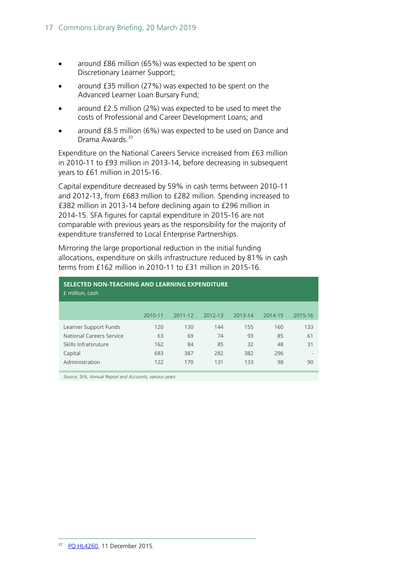- around £86 million (65%) was expected to be spent on Discretionary Learner Support;
- around £35 million (27%) was expected to be spent on the Advanced Learner Loan Bursary Fund;
- around £2.5 million (2%) was expected to be used to meet the costs of Professional and Career Development Loans; and
- around £8.5 million (6%) was expected to be used on Dance and Drama Awards.<sup>[37](#page-16-0)</sup>

Expenditure on the National Careers Service increased from £63 million in 2010-11 to £93 million in 2013-14, before decreasing in subsequent years to £61 million in 2015-16.

Capital expenditure decreased by 59% in cash terms between 2010-11 and 2012-13, from £683 million to £282 million. Spending increased to £382 million in 2013-14 before declining again to £296 million in 2014-15. SFA figures for capital expenditure in 2015-16 are not comparable with previous years as the responsibility for the majority of expenditure transferred to Local Enterprise Partnerships.

Mirroring the large proportional reduction in the initial funding allocations, expenditure on skills infrastructure reduced by 81% in cash terms from £162 million in 2010-11 to £31 million in 2015-16.

| SELECTED NON-TEACHING AND LEARNING EXPENDITURE<br>£ million, cash |         |         |         |         |         |                          |  |  |
|-------------------------------------------------------------------|---------|---------|---------|---------|---------|--------------------------|--|--|
|                                                                   | 2010-11 | 2011-12 | 2012-13 | 2013-14 | 2014-15 | 2015-16                  |  |  |
| Learner Support Funds                                             | 120     | 130     | 144     | 155     | 160     | 133                      |  |  |
| National Careers Service                                          | 63      | 69      | 74      | 93      | 85      | 61                       |  |  |
| Skills Infratsruture                                              | 162     | 84      | 85      | 32      | 48      | 31                       |  |  |
| Capital                                                           | 683     | 387     | 282     | 382     | 296     | $\overline{\phantom{a}}$ |  |  |
| Administration                                                    | 122     | 170     | 131     | 133     | 98      | 90                       |  |  |

<span id="page-16-0"></span>*Source, SFA, Annual Report and Accounts, various years*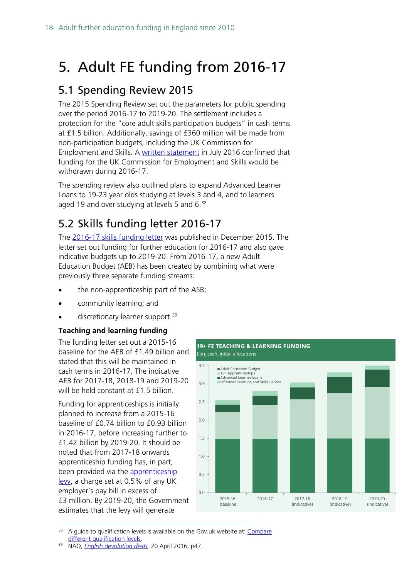# <span id="page-17-0"></span>5. Adult FE funding from 2016-17

### <span id="page-17-1"></span>5.1 Spending Review 2015

The 2015 Spending Review set out the parameters for public spending over the period 2016-17 to 2019-20. The settlement includes a protection for the "core adult skills participation budgets" in cash terms at £1.5 billion. Additionally, savings of £360 million will be made from non-participation budgets, including the UK Commission for Employment and Skills. A [written statement](http://www.parliament.uk/business/publications/written-questions-answers-statements/written-statement/Commons/2016-07-21/HCWS121/) in July 2016 confirmed that funding for the UK Commission for Employment and Skills would be withdrawn during 2016-17.

The spending review also outlined plans to expand Advanced Learner Loans to 19-23 year olds studying at levels 3 and 4, and to learners aged 19 and over studying at levels 5 and  $6.^{38}$  $6.^{38}$  $6.^{38}$ 

## <span id="page-17-2"></span>5.2 Skills funding letter 2016-17

The [2016-17 skills funding letter](https://www.gov.uk/government/uploads/system/uploads/attachment_data/file/485969/BIS-15-615-skills-funding-letter-2016-to-2017.pdf) was published in December 2015. The letter set out funding for further education for 2016-17 and also gave indicative budgets up to 2019-20. From 2016-17, a new Adult Education Budget (AEB) has been created by combining what were previously three separate funding streams:

- the non-apprenticeship part of the ASB;
- community learning; and
- discretionary learner support.<sup>[39](#page-17-4)</sup>

### **Teaching and learning funding**

The funding letter set out a 2015-16 baseline for the AEB of £1.49 billion and stated that this will be maintained in cash terms in 2016-17. The indicative AEB for 2017-18, 2018-19 and 2019-20 will be held constant at £1.5 billion.

Funding for apprenticeships is initially planned to increase from a 2015-16 baseline of £0.74 billion to £0.93 billion in 2016-17, before increasing further to £1.42 billion by 2019-20. It should be noted that from 2017-18 onwards apprenticeship funding has, in part, been provided via the [apprenticeship](http://researchbriefings.parliament.uk/ResearchBriefing/Summary/CBP-7523)  [levy,](http://researchbriefings.parliament.uk/ResearchBriefing/Summary/CBP-7523) a charge set at 0.5% of any UK employer's pay bill in excess of £3 million. By 2019-20, the Government estimates that the levy will generate



<span id="page-17-3"></span><sup>38</sup> A guide to qualification levels is available on the Gov.uk website at: Compare [different qualification levels.](https://www.gov.uk/what-different-qualification-levels-mean/compare-different-qualification-levels)

<span id="page-17-4"></span><sup>39</sup> NAO, *[English devolution deals,](https://www.nao.org.uk/wp-content/uploads/2016/04/English-devolution-deals.pdf)* 20 April 2016, p47.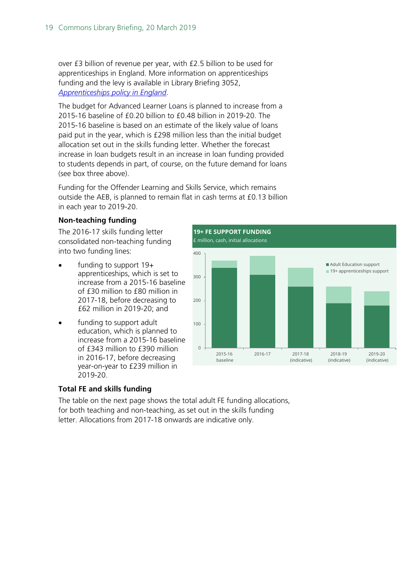over £3 billion of revenue per year, with £2.5 billion to be used for apprenticeships in England. More information on apprenticeships funding and the levy is available in Library Briefing 3052, *[Apprenticeships policy in England](http://researchbriefings.parliament.uk/ResearchBriefing/Summary/SN03052#fullreport)*.

The budget for Advanced Learner Loans is planned to increase from a 2015-16 baseline of £0.20 billion to £0.48 billion in 2019-20. The 2015-16 baseline is based on an estimate of the likely value of loans paid put in the year, which is £298 million less than the initial budget allocation set out in the skills funding letter. Whether the forecast increase in loan budgets result in an increase in loan funding provided to students depends in part, of course, on the future demand for loans (see box three above).

Funding for the Offender Learning and Skills Service, which remains outside the AEB, is planned to remain flat in cash terms at £0.13 billion in each year to 2019-20.

#### **Non-teaching funding**

The 2016-17 skills funding letter consolidated non-teaching funding into two funding lines:

- funding to support 19+ apprenticeships, which is set to increase from a 2015-16 baseline of £30 million to £80 million in 2017-18, before decreasing to £62 million in 2019-20; and
- funding to support adult education, which is planned to increase from a 2015-16 baseline of £343 million to £390 million in 2016-17, before decreasing year-on-year to £239 million in 2019-20.



### **Total FE and skills funding**

The table on the next page shows the total adult FE funding allocations, for both teaching and non-teaching, as set out in the skills funding letter. Allocations from 2017-18 onwards are indicative only.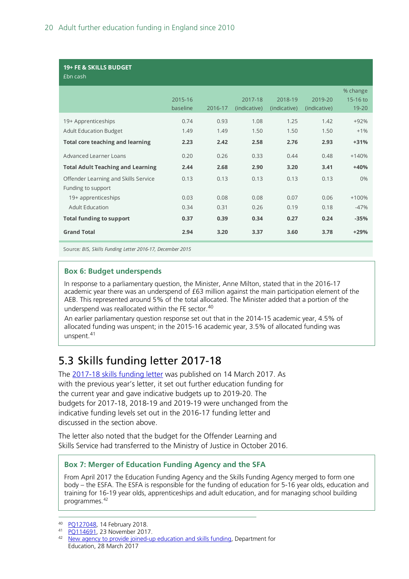#### **19+ FE & SKILLS BUDGET**

£bn cash

| LUIT CUSIT                                           |                     |              |                         |                         |                         |                                   |
|------------------------------------------------------|---------------------|--------------|-------------------------|-------------------------|-------------------------|-----------------------------------|
|                                                      | 2015-16<br>baseline | 2016-17      | 2017-18<br>(indicative) | 2018-19<br>(indicative) | 2019-20<br>(indicative) | % change<br>15-16 to<br>$19 - 20$ |
| 19+ Apprenticeships<br><b>Adult Education Budget</b> | 0.74<br>1.49        | 0.93<br>1.49 | 1.08<br>1.50            | 1.25<br>1.50            | 1.42<br>1.50            | $+92%$<br>$+1\%$                  |
| <b>Total core teaching and learning</b>              | 2.23                | 2.42         | 2.58                    | 2.76                    | 2.93                    | $+31%$                            |
| Advanced Learner Loans                               | 0.20                | 0.26         | 0.33                    | 0.44                    | 0.48                    | $+140%$                           |
| <b>Total Adult Teaching and Learning</b>             | 2.44                | 2.68         | 2.90                    | 3.20                    | 3.41                    | $+40%$                            |
| Offender Learning and Skills Service                 | 0.13                | 0.13         | 0.13                    | 0.13                    | 0.13                    | $0\%$                             |
| Funding to support                                   |                     |              |                         |                         |                         |                                   |
| 19+ apprenticeships                                  | 0.03                | 0.08         | 0.08                    | 0.07                    | 0.06                    | $+100%$                           |
| <b>Adult Education</b>                               | 0.34                | 0.31         | 0.26                    | 0.19                    | 0.18                    | $-47%$                            |
| <b>Total funding to support</b>                      | 0.37                | 0.39         | 0.34                    | 0.27                    | 0.24                    | $-35%$                            |
| <b>Grand Total</b>                                   | 2.94                | 3.20         | 3.37                    | 3.60                    | 3.78                    | $+29%$                            |

Source*: BIS, Skills Funding Letter 2016-17, December 2015* 

#### **Box 6: Budget underspends**

In response to a parliamentary question, the Minister, Anne Milton, stated that in the 2016-17 academic year there was an underspend of £63 million against the main participation element of the AEB. This represented around 5% of the total allocated. The Minister added that a portion of the underspend was reallocated within the FE sector.<sup>[40](#page-19-1)</sup>

An earlier parliamentary question response set out that in the 2014-15 academic year, 4.5% of allocated funding was unspent; in the 2015-16 academic year, 3.5% of allocated funding was unspent.[41](#page-19-2)

## <span id="page-19-0"></span>5.3 Skills funding letter 2017-18

The [2017-18 skills funding letter](https://www.gov.uk/government/publications/skills-funding-letter-april-2017-to-march-2018) was published on 14 March 2017. As with the previous year's letter, it set out further education funding for the current year and gave indicative budgets up to 2019-20. The budgets for 2017-18, 2018-19 and 2019-19 were unchanged from the indicative funding levels set out in the 2016-17 funding letter and discussed in the section above.

The letter also noted that the budget for the Offender Learning and Skills Service had transferred to the Ministry of Justice in October 2016.

#### **Box 7: Merger of Education Funding Agency and the SFA**

From April 2017 the Education Funding Agency and the Skills Funding Agency merged to form one body – the ESFA. The ESFA is responsible for the funding of education for 5-16 year olds, education and training for 16-19 year olds, apprenticeships and adult education, and for managing school building programmes.[42](#page-19-3)

 <sup>40</sup> [PQ127048,](http://www.parliament.uk/written-questions-answers-statements/written-question/commons/2018-02-06/127048) 14 February 2018.

<span id="page-19-2"></span><span id="page-19-1"></span><sup>41</sup> [PQ114691,](http://www.parliament.uk/written-questions-answers-statements/written-question/commons/2017-11-20/114691) 23 November 2017.

<span id="page-19-3"></span><sup>&</sup>lt;sup>42</sup> [New agency to provide joined-up education and skills funding,](https://www.gov.uk/government/news/new-agency-to-provide-joined-up-education-and-skills-funding) Department for Education, 28 March 2017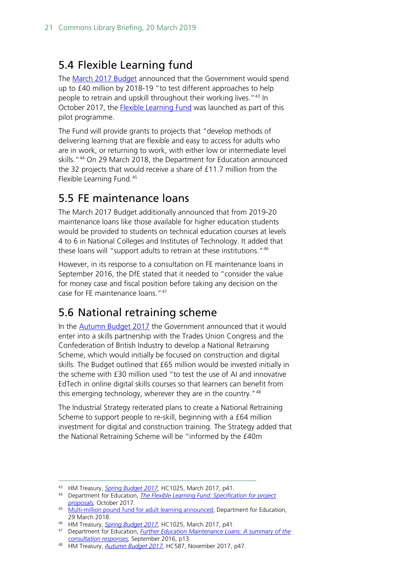## <span id="page-20-0"></span>5.4 Flexible Learning fund

The [March 2017 Budget](https://www.gov.uk/government/uploads/system/uploads/attachment_data/file/597467/spring_budget_2017_web.pdf) announced that the Government would spend up to £40 million by 2018-19 "to test different approaches to help people to retrain and upskill throughout their working lives."<sup>[43](#page-20-3)</sup> In October 2017, the **Flexible Learning Fund** was launched as part of this pilot programme.

The Fund will provide grants to projects that "develop methods of delivering learning that are flexible and easy to access for adults who are in work, or returning to work, with either low or intermediate level skills."[44](#page-20-4) On 29 March 2018, the Department for Education announced the 32 projects that would receive a share of £11.7 million from the Flexible Learning Fund.[45](#page-20-5)

## <span id="page-20-1"></span>5.5 FE maintenance loans

The March 2017 Budget additionally announced that from 2019-20 maintenance loans like those available for higher education students would be provided to students on technical education courses at levels 4 to 6 in National Colleges and Institutes of Technology. It added that these loans will "support adults to retrain at these institutions."[46](#page-20-6)

However, in its response to a consultation on FE maintenance loans in September 2016, the DfE stated that it needed to "consider the value for money case and fiscal position before taking any decision on the case for FE maintenance loans."[47](#page-20-7)

## <span id="page-20-2"></span>5.6 National retraining scheme

In the [Autumn Budget 2017](https://www.gov.uk/government/uploads/system/uploads/attachment_data/file/661480/autumn_budget_2017_web.pdf) the Government announced that it would enter into a skills partnership with the Trades Union Congress and the Confederation of British Industry to develop a National Retraining Scheme, which would initially be focused on construction and digital skills. The Budget outlined that £65 million would be invested initially in the scheme with £30 million used "to test the use of AI and innovative EdTech in online digital skills courses so that learners can benefit from this emerging technology, wherever they are in the country." [48](#page-20-8)

The Industrial Strategy reiterated plans to create a National Retraining Scheme to support people to re-skill, beginning with a £64 million investment for digital and construction training. The Strategy added that the National Retraining Scheme will be "informed by the £40m

<span id="page-20-3"></span> <sup>43</sup> HM Treasury, *[Spring Budget 2017,](https://www.gov.uk/government/uploads/system/uploads/attachment_data/file/597467/spring_budget_2017_web.pdf)* HC1025, March 2017, p41.

<span id="page-20-4"></span><sup>44</sup> Department for Education, *[The Flexible Learning Fund: Specification for project](https://www.gov.uk/government/uploads/system/uploads/attachment_data/file/656055/Flexible_Learning_Fund_-_Specification_for_proposals.pdf)  [proposals,](https://www.gov.uk/government/uploads/system/uploads/attachment_data/file/656055/Flexible_Learning_Fund_-_Specification_for_proposals.pdf)* October 2017.

<span id="page-20-5"></span><sup>45</sup> [Multi-million pound fund for adult learning announced,](https://www.gov.uk/government/news/multi-million-pound-fund-for-adult-learning-announced) Department for Education, 29 March 2018.

<span id="page-20-6"></span><sup>46</sup> HM Treasury, *[Spring Budget 2017,](https://www.gov.uk/government/uploads/system/uploads/attachment_data/file/597467/spring_budget_2017_web.pdf)* HC1025, March 2017, p41.

<span id="page-20-7"></span><sup>47</sup> Department for Education, *[Further Education Maintenance Loans: A summary of the](https://assets.publishing.service.gov.uk/government/uploads/system/uploads/attachment_data/file/549982/Further-education-maintenance-loans-government-response.pdf)  [consultation responses,](https://assets.publishing.service.gov.uk/government/uploads/system/uploads/attachment_data/file/549982/Further-education-maintenance-loans-government-response.pdf)* September 2016, p13.

<span id="page-20-8"></span><sup>48</sup> HM Treasury, *[Autumn Budget](https://www.gov.uk/government/uploads/system/uploads/attachment_data/file/661480/autumn_budget_2017_web.pdf) 2017,* HC587, November 2017, p47.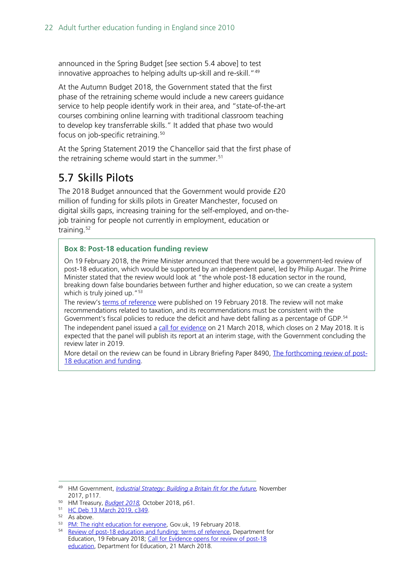announced in the Spring Budget [see section 5.4 above] to test innovative approaches to helping adults up-skill and re-skill."<sup>[49](#page-21-1)</sup>

At the Autumn Budget 2018, the Government stated that the first phase of the retraining scheme would include a new careers guidance service to help people identify work in their area, and "state-of-the-art courses combining online learning with traditional classroom teaching to develop key transferrable skills." It added that phase two would focus on job-specific retraining.<sup>[50](#page-21-2)</sup>

At the Spring Statement 2019 the Chancellor said that the first phase of the retraining scheme would start in the summer.<sup>[51](#page-21-3)</sup>

## <span id="page-21-0"></span>5.7 Skills Pilots

The 2018 Budget announced that the Government would provide £20 million of funding for skills pilots in Greater Manchester, focused on digital skills gaps, increasing training for the self-employed, and on-thejob training for people not currently in employment, education or training.<sup>[52](#page-21-4)</sup>

#### **Box 8: Post-18 education funding review**

On 19 February 2018, the Prime Minister announced that there would be a government-led review of post-18 education, which would be supported by an independent panel, led by Philip Augar. The Prime Minister stated that the review would look at "the whole post-18 education sector in the round, breaking down false boundaries between further and higher education, so we can create a system which is truly joined up."<sup>[53](#page-21-5)</sup>

The review's [terms of reference](https://www.gov.uk/government/publications/review-of-post-18-education-and-funding-terms-of-reference) were published on 19 February 2018. The review will not make recommendations related to taxation, and its recommendations must be consistent with the Government's fiscal policies to reduce the deficit and have debt falling as a percentage of GDP.<sup>[54](#page-21-6)</sup> The independent panel issued a [call for evidence](https://www.gov.uk/government/news/call-for-evidence-opens-for-review-of-post-18-education) on 21 March 2018, which closes on 2 May 2018. It is expected that the panel will publish its report at an interim stage, with the Government concluding the review later in 2019.

More detail on the review can be found in Library Briefing Paper 8490, [The forthcoming review of post-](https://researchbriefings.parliament.uk/ResearchBriefing/Summary/CBP-8490)[18 education and funding.](https://researchbriefings.parliament.uk/ResearchBriefing/Summary/CBP-8490)

<span id="page-21-1"></span> <sup>49</sup> HM Government, *[Industrial Strategy: Building a Britain fit for the future,](https://www.gov.uk/government/publications/industrial-strategy-building-a-britain-fit-for-the-future)* November 2017, p117.

<span id="page-21-2"></span><sup>50</sup> HM Treasury, *[Budget 2018,](https://assets.publishing.service.gov.uk/government/uploads/system/uploads/attachment_data/file/752202/Budget_2018_red_web.pdf)* October 2018, p61.

<span id="page-21-3"></span><sup>51</sup> [HC Deb 13 March 2019, c349.](https://hansard.parliament.uk/commons/2019-03-13/debates/5B9C772E-1769-437A-A4F0-06DEAC55D676/SpringStatement)

 $52 \overline{As}$  above.

<span id="page-21-6"></span><span id="page-21-5"></span><span id="page-21-4"></span><sup>53</sup> [PM: The right education for everyone,](https://www.gov.uk/government/speeches/pm-the-right-education-for-everyone) Gov.uk, 19 February 2018.

<sup>54</sup> [Review of post-18 education and funding: terms of reference,](https://www.gov.uk/government/publications/review-of-post-18-education-and-funding-terms-of-reference) Department for Education, 19 February 2018; [Call for Evidence opens for review of post-18](https://www.gov.uk/government/news/call-for-evidence-opens-for-review-of-post-18-education)  [education,](https://www.gov.uk/government/news/call-for-evidence-opens-for-review-of-post-18-education) Department for Education, 21 March 2018.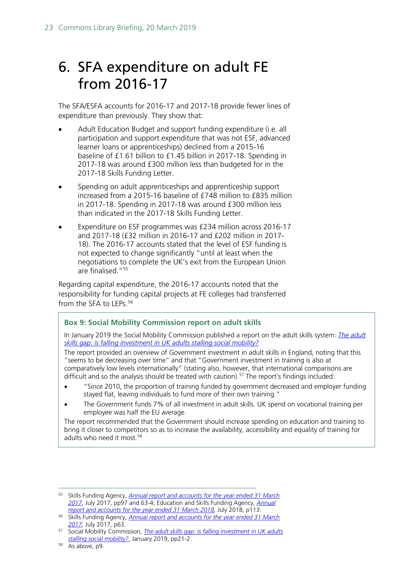# <span id="page-22-0"></span>6. SFA expenditure on adult FE from 2016-17

The SFA/ESFA accounts for 2016-17 and 2017-18 provide fewer lines of expenditure than previously. They show that:

- Adult Education Budget and support funding expenditure (i.e. all participation and support expenditure that was not ESF, advanced learner loans or apprenticeships) declined from a 2015-16 baseline of £1.61 billion to £1.45 billion in 2017-18. Spending in 2017-18 was around £300 million less than budgeted for in the 2017-18 Skills Funding Letter.
- Spending on adult apprenticeships and apprenticeship support increased from a 2015-16 baseline of £748 million to £835 million in 2017-18. Spending in 2017-18 was around £300 million less than indicated in the 2017-18 Skills Funding Letter.
- Expenditure on ESF programmes was £234 million across 2016-17 and 2017-18 (£32 million in 2016-17 and £202 million in 2017- 18). The 2016-17 accounts stated that the level of ESF funding is not expected to change significantly "until at least when the negotiations to complete the UK's exit from the European Union are finalised."<sup>[55](#page-22-1)</sup>

Regarding capital expenditure, the 2016-17 accounts noted that the responsibility for funding capital projects at FE colleges had transferred from the SFA to LEPs.<sup>[56](#page-22-2)</sup>

#### **Box 9: Social Mobility Commission report on adult skills**

In January 2019 the Social Mobility Commission published a report on the adult skills system: *[The adult](https://feweek.co.uk/wp-content/uploads/2019/01/Social-Mobility-Commission-adult-skills-report.pdf)  [skills gap: is falling investment in UK adults stalling social mobility?](https://feweek.co.uk/wp-content/uploads/2019/01/Social-Mobility-Commission-adult-skills-report.pdf)*

The report provided an overview of Government investment in adult skills in England, noting that this "seems to be decreasing over time" and that "Government investment in training is also at comparatively low levels internationally" (stating also, however, that international comparisons are difficult and so the analysis should be treated with caution).<sup>57</sup> The report's findings included:

- "Since 2010, the proportion of training funded by government decreased and employer funding stayed flat, leaving individuals to fund more of their own training."
- The Government funds 7% of all investment in adult skills. UK spend on vocational training per employee was half the EU average.

The report recommended that the Government should increase spending on education and training to bring it closer to competitors so as to increase the availability, accessibility and equality of training for adults who need it most.<sup>[58](#page-22-4)</sup>

<span id="page-22-1"></span> <sup>55</sup> Skills Funding Agency, *[Annual report and accounts for the year ended 31 March](https://www.gov.uk/government/uploads/system/uploads/attachment_data/file/630972/2016_to_2017_SFA_ARA_web_version.pdf)  [2017](https://www.gov.uk/government/uploads/system/uploads/attachment_data/file/630972/2016_to_2017_SFA_ARA_web_version.pdf)*, July 2017, pp97 and 63-4; Education and Skills Funding Agency, *[Annual](https://assets.publishing.service.gov.uk/government/uploads/system/uploads/attachment_data/file/727360/ESFA_ARA_2017-18_PRINT.pdf)  [report and accounts for the year ended 31 March 2018,](https://assets.publishing.service.gov.uk/government/uploads/system/uploads/attachment_data/file/727360/ESFA_ARA_2017-18_PRINT.pdf)* July 2018, p113.

<span id="page-22-2"></span><sup>56</sup> Skills Funding Agency, *[Annual report and accounts for the year ended 31 March](https://www.gov.uk/government/uploads/system/uploads/attachment_data/file/630972/2016_to_2017_SFA_ARA_web_version.pdf)  [2017](https://www.gov.uk/government/uploads/system/uploads/attachment_data/file/630972/2016_to_2017_SFA_ARA_web_version.pdf)*, July 2017, p63.

<span id="page-22-3"></span><sup>57</sup> Social Mobility Commission, *[The adult skills gap: is falling investment in UK](https://feweek.co.uk/wp-content/uploads/2019/01/Social-Mobility-Commission-adult-skills-report.pdf) adults [stalling social mobility?](https://feweek.co.uk/wp-content/uploads/2019/01/Social-Mobility-Commission-adult-skills-report.pdf)*, January 2019, pp21-2.

<span id="page-22-4"></span><sup>58</sup> As above, p9.